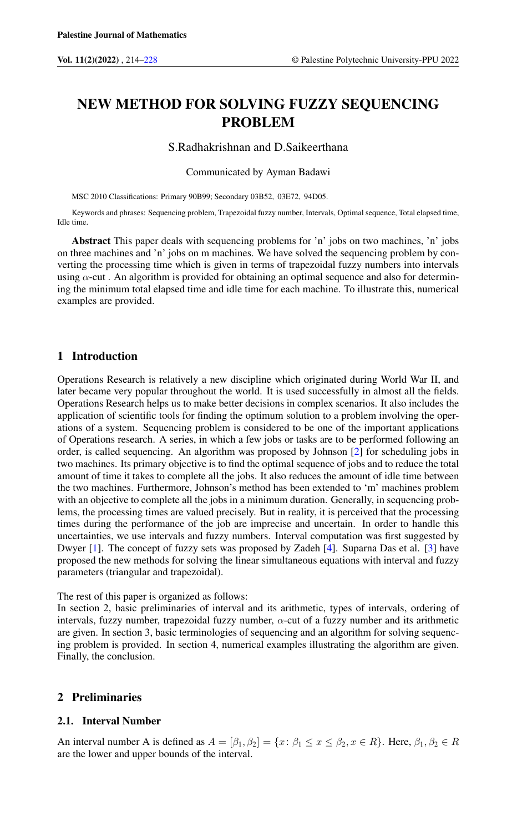# NEW METHOD FOR SOLVING FUZZY SEQUENCING PROBLEM

### S.Radhakrishnan and D.Saikeerthana

Communicated by Ayman Badawi

MSC 2010 Classifications: Primary 90B99; Secondary 03B52, 03E72, 94D05.

Keywords and phrases: Sequencing problem, Trapezoidal fuzzy number, Intervals, Optimal sequence, Total elapsed time, Idle time.

Abstract This paper deals with sequencing problems for 'n' jobs on two machines, 'n' jobs on three machines and 'n' jobs on m machines. We have solved the sequencing problem by converting the processing time which is given in terms of trapezoidal fuzzy numbers into intervals using  $\alpha$ -cut. An algorithm is provided for obtaining an optimal sequence and also for determining the minimum total elapsed time and idle time for each machine. To illustrate this, numerical examples are provided.

### 1 Introduction

Operations Research is relatively a new discipline which originated during World War II, and later became very popular throughout the world. It is used successfully in almost all the fields. Operations Research helps us to make better decisions in complex scenarios. It also includes the application of scientific tools for finding the optimum solution to a problem involving the operations of a system. Sequencing problem is considered to be one of the important applications of Operations research. A series, in which a few jobs or tasks are to be performed following an order, is called sequencing. An algorithm was proposed by Johnson [\[2\]](#page-14-1) for scheduling jobs in two machines. Its primary objective is to find the optimal sequence of jobs and to reduce the total amount of time it takes to complete all the jobs. It also reduces the amount of idle time between the two machines. Furthermore, Johnson's method has been extended to 'm' machines problem with an objective to complete all the jobs in a minimum duration. Generally, in sequencing problems, the processing times are valued precisely. But in reality, it is perceived that the processing times during the performance of the job are imprecise and uncertain. In order to handle this uncertainties, we use intervals and fuzzy numbers. Interval computation was first suggested by Dwyer [\[1\]](#page-14-2). The concept of fuzzy sets was proposed by Zadeh [\[4\]](#page-14-3). Suparna Das et al. [\[3\]](#page-14-4) have proposed the new methods for solving the linear simultaneous equations with interval and fuzzy parameters (triangular and trapezoidal).

The rest of this paper is organized as follows:

In section 2, basic preliminaries of interval and its arithmetic, types of intervals, ordering of intervals, fuzzy number, trapezoidal fuzzy number,  $\alpha$ -cut of a fuzzy number and its arithmetic are given. In section 3, basic terminologies of sequencing and an algorithm for solving sequencing problem is provided. In section 4, numerical examples illustrating the algorithm are given. Finally, the conclusion.

### 2 Preliminaries

#### 2.1. Interval Number

An interval number A is defined as  $A = [\beta_1, \beta_2] = \{x : \beta_1 \le x \le \beta_2, x \in R\}$ . Here,  $\beta_1, \beta_2 \in R$ are the lower and upper bounds of the interval.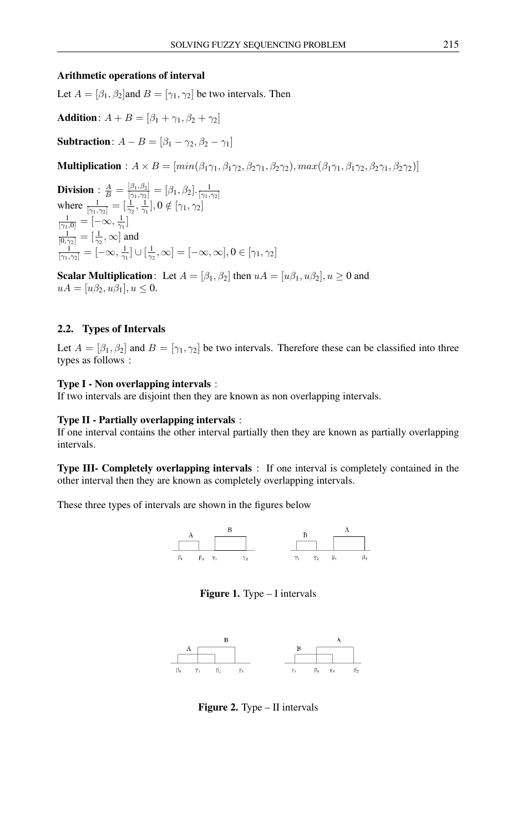#### Arithmetic operations of interval

Let  $A = [\beta_1, \beta_2]$  and  $B = [\gamma_1, \gamma_2]$  be two intervals. Then

**Addition**: 
$$
A + B = [\beta_1 + \gamma_1, \beta_2 + \gamma_2]
$$

**Subtraction**:  $A - B = [\beta_1 - \gamma_2, \beta_2 - \gamma_1]$ 

Multiplication :  $A \times B = [min(\beta_1\gamma_1, \beta_1\gamma_2, \beta_2\gamma_1, \beta_2\gamma_2), max(\beta_1\gamma_1, \beta_1\gamma_2, \beta_2\gamma_1, \beta_2\gamma_2)]$ 

**Division** :  $\frac{A}{B} = \frac{\left[\beta_1, \beta_2\right]}{\left[\gamma_1, \gamma_2\right]} = \left[\beta_1, \beta_2\right] \cdot \frac{1}{\left[\gamma_1, \gamma_2\right]}$ <br>where  $\frac{1}{\left[\gamma_1, \gamma_2\right]} = \left[\frac{1}{\gamma_2}, \frac{1}{\gamma_1}\right]$ ,  $0 \notin \left[\gamma_1, \gamma_2\right]$  $\frac{1}{[\gamma_1,0]}=[-\infty,\frac{1}{\gamma_1}]$  $\frac{1}{[0,\gamma_2]}=[\frac{1}{\gamma_2},\infty]$  and  $\frac{1}{[\gamma_1,\gamma_2]}=[-\infty,\frac{1}{\gamma_1}]\cup[\frac{1}{\gamma_2},\infty]=[-\infty,\infty],0\in[\gamma_1,\gamma_2]$ 

**Scalar Multiplication:** Let  $A = [\beta_1, \beta_2]$  then  $uA = [u\beta_1, u\beta_2], u \ge 0$  and  $uA = [u\beta_2, u\beta_1], u \leq 0.$ 

#### 2.2. Types of Intervals

Let  $A = [\beta_1, \beta_2]$  and  $B = [\gamma_1, \gamma_2]$  be two intervals. Therefore these can be classified into three types as follows :

#### Type I - Non overlapping intervals :

If two intervals are disjoint then they are known as non overlapping intervals.

#### Type II - Partially overlapping intervals :

If one interval contains the other interval partially then they are known as partially overlapping intervals.

Type III- Completely overlapping intervals : If one interval is completely contained in the other interval then they are known as completely overlapping intervals.

These three types of intervals are shown in the figures below



Figure 1. Type – I intervals



Figure 2. Type – II intervals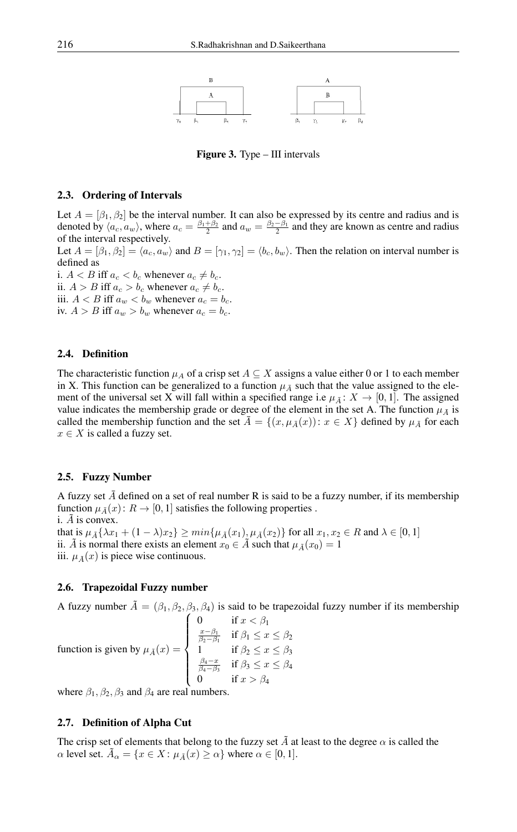

Figure 3. Type – III intervals

#### 2.3. Ordering of Intervals

Let  $A = [\beta_1, \beta_2]$  be the interval number. It can also be expressed by its centre and radius and is denoted by  $\langle a_c, a_w \rangle$ , where  $a_c = \frac{\beta_1 + \beta_2}{2}$  and  $a_w = \frac{\beta_2 - \beta_1}{2}$  and they are known as centre and radius of the interval respectively.

Let  $A = [\beta_1, \beta_2] = \langle a_c, a_w \rangle$  and  $B = [\gamma_1, \gamma_2] = \langle b_c, b_w \rangle$ . Then the relation on interval number is defined as

i.  $A < B$  iff  $a_c < b_c$  whenever  $a_c \neq b_c$ . ii.  $A > B$  iff  $a_c > b_c$  whenever  $a_c \neq b_c$ . iii.  $A < B$  iff  $a_w < b_w$  whenever  $a_c = b_c$ . iv.  $A > B$  iff  $a_w > b_w$  whenever  $a_c = b_c$ .

#### 2.4. Definition

The characteristic function  $\mu_A$  of a crisp set  $A \subseteq X$  assigns a value either 0 or 1 to each member in X. This function can be generalized to a function  $\mu_A$  such that the value assigned to the element of the universal set X will fall within a specified range i.e  $\mu_{\bar{A}}$ :  $X \to [0, 1]$ . The assigned value indicates the membership grade or degree of the element in the set A. The function  $\mu_{\bar{A}}$  is called the membership function and the set  $\bar{A} = \{(x, \mu_{\bar{A}}(x)) : x \in X\}$  defined by  $\mu_{\bar{A}}$  for each  $x \in X$  is called a fuzzy set.

#### 2.5. Fuzzy Number

A fuzzy set  $\bar{A}$  defined on a set of real number R is said to be a fuzzy number, if its membership function  $\mu_{\bar{A}}(x)$ :  $R \to [0, 1]$  satisfies the following properties. i.  $\overline{A}$  is convex. that is  $\mu_{\tilde{A}}\{\lambda x_1 + (1-\lambda)x_2\} \ge \min\{\mu_{\tilde{A}}(x_1), \mu_{\tilde{A}}(x_2)\}\$  for all  $x_1, x_2 \in R$  and  $\lambda \in [0, 1]$ ii.  $\tilde{A}$  is normal there exists an element  $x_0 \in \tilde{A}$  such that  $\mu_{\tilde{A}}(x_0) = 1$ iii.  $\mu_{\tilde{A}}(x)$  is piece wise continuous.

#### 2.6. Trapezoidal Fuzzy number

A fuzzy number  $\tilde{A} = (\beta_1, \beta_2, \beta_3, \beta_4)$  is said to be trapezoidal fuzzy number if its membership

function is given by 
$$
\mu_{\tilde{A}}(x) = \begin{cases} 0 & \text{if } x < \beta_1 \\ \frac{x-\beta_1}{\beta_2-\beta_1} & \text{if } \beta_1 \leq x \leq \beta_2 \\ 1 & \text{if } \beta_2 \leq x \leq \beta_3 \\ \frac{\beta_4 - x}{\beta_4 - \beta_3} & \text{if } \beta_3 \leq x \leq \beta_4 \\ 0 & \text{if } x > \beta_4 \end{cases}
$$

where  $\beta_1$ ,  $\beta_2$ ,  $\beta_3$  and  $\beta_4$  are real numbers.

#### 2.7. Definition of Alpha Cut

The crisp set of elements that belong to the fuzzy set  $\tilde{A}$  at least to the degree  $\alpha$  is called the  $\alpha$  level set.  $\bar{A}_{\alpha} = \{x \in X : \mu_{\tilde{A}}(x) \ge \alpha\}$  where  $\alpha \in [0, 1].$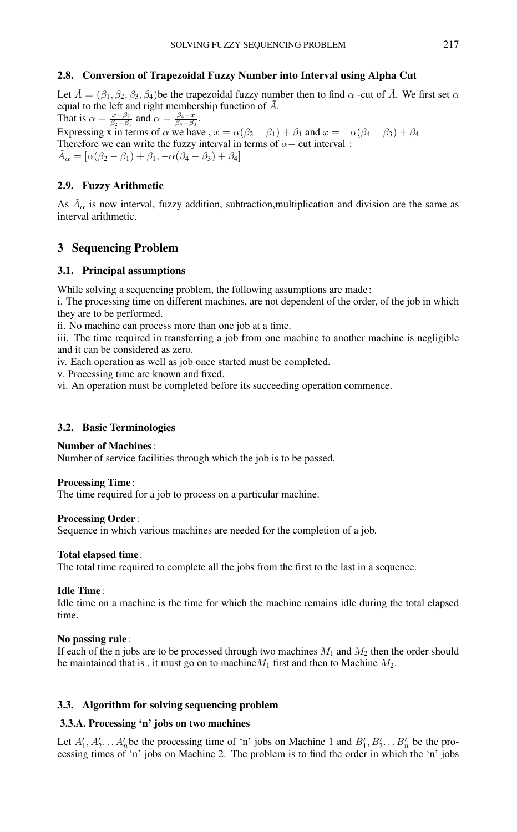# 2.8. Conversion of Trapezoidal Fuzzy Number into Interval using Alpha Cut

Let  $\tilde{A} = (\beta_1, \beta_2, \beta_3, \beta_4)$  be the trapezoidal fuzzy number then to find  $\alpha$  -cut of  $\tilde{A}$ . We first set  $\alpha$ equal to the left and right membership function of  $\tilde{A}$ .

That is  $\alpha = \frac{x-\beta_2}{\beta_2-\beta_1}$  and  $\alpha = \frac{\beta_4-x}{\beta_4-\beta_3}$ . Expressing x in terms of  $\alpha$  we have ,  $x = \alpha(\beta_2 - \beta_1) + \beta_1$  and  $x = -\alpha(\beta_4 - \beta_3) + \beta_4$ Therefore we can write the fuzzy interval in terms of  $\alpha$  – cut interval :  $\tilde{A}_{\alpha} = [\alpha(\beta_2 - \beta_1) + \beta_1, -\alpha(\beta_4 - \beta_3) + \beta_4]$ 

## 2.9. Fuzzy Arithmetic

As  $\tilde{A}_{\alpha}$  is now interval, fuzzy addition, subtraction, multiplication and division are the same as interval arithmetic.

# 3 Sequencing Problem

### 3.1. Principal assumptions

While solving a sequencing problem, the following assumptions are made:

i. The processing time on different machines, are not dependent of the order, of the job in which they are to be performed.

ii. No machine can process more than one job at a time.

iii. The time required in transferring a job from one machine to another machine is negligible and it can be considered as zero.

iv. Each operation as well as job once started must be completed.

v. Processing time are known and fixed.

vi. An operation must be completed before its succeeding operation commence.

### 3.2. Basic Terminologies

### Number of Machines:

Number of service facilities through which the job is to be passed.

### Processing Time:

The time required for a job to process on a particular machine.

### Processing Order:

Sequence in which various machines are needed for the completion of a job.

### Total elapsed time:

The total time required to complete all the jobs from the first to the last in a sequence.

### Idle Time:

Idle time on a machine is the time for which the machine remains idle during the total elapsed time.

### No passing rule:

If each of the n jobs are to be processed through two machines  $M_1$  and  $M_2$  then the order should be maintained that is, it must go on to machine  $M_1$  first and then to Machine  $M_2$ .

# 3.3. Algorithm for solving sequencing problem

### 3.3.A. Processing 'n' jobs on two machines

Let  $A'_1, A'_2, \ldots, A'_n$  be the processing time of 'n' jobs on Machine 1 and  $B'_1, B'_2, \ldots, B'_n$  be the processing times of 'n' jobs on Machine 2. The problem is to find the order in which the 'n' jobs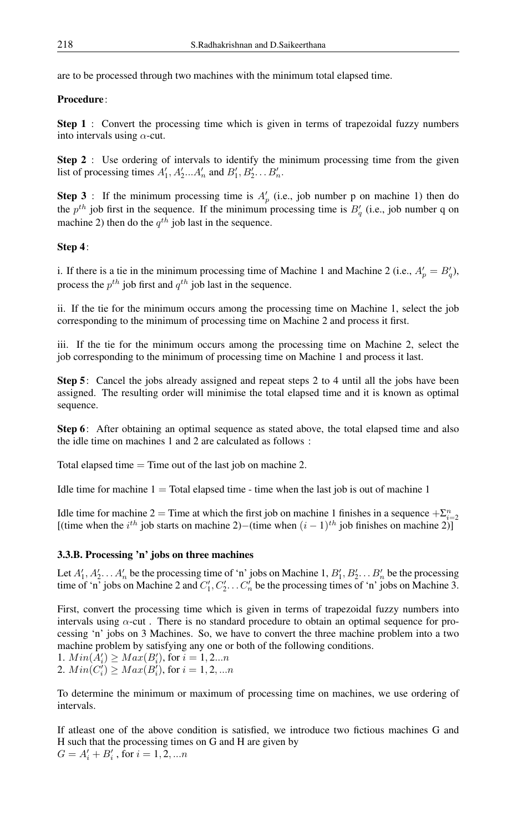are to be processed through two machines with the minimum total elapsed time.

### Procedure:

Step 1 : Convert the processing time which is given in terms of trapezoidal fuzzy numbers into intervals using  $\alpha$ -cut.

Step 2 : Use ordering of intervals to identify the minimum processing time from the given list of processing times  $A'_1, A'_2...A'_n$  and  $B'_1, B'_2...B'_n$ .

**Step 3**: If the minimum processing time is  $A_p$  (i.e., job number p on machine 1) then do the  $p^{th}$  job first in the sequence. If the minimum processing time is  $B'_q$  (i.e., job number q on machine 2) then do the  $q^{th}$  job last in the sequence.

### Step 4:

i. If there is a tie in the minimum processing time of Machine 1 and Machine 2 (i.e.,  $A'_p = B'_q$ ), process the  $p^{th}$  job first and  $q^{th}$  job last in the sequence.

ii. If the tie for the minimum occurs among the processing time on Machine 1, select the job corresponding to the minimum of processing time on Machine 2 and process it first.

iii. If the tie for the minimum occurs among the processing time on Machine 2, select the job corresponding to the minimum of processing time on Machine 1 and process it last.

Step 5: Cancel the jobs already assigned and repeat steps 2 to 4 until all the jobs have been assigned. The resulting order will minimise the total elapsed time and it is known as optimal sequence.

Step 6: After obtaining an optimal sequence as stated above, the total elapsed time and also the idle time on machines 1 and 2 are calculated as follows :

Total elapsed time  $=$  Time out of the last job on machine 2.

Idle time for machine  $1 =$  Total elapsed time - time when the last job is out of machine 1

Idle time for machine 2 = Time at which the first job on machine 1 finishes in a sequence  $+\sum_{i=2}^{n}$ [(time when the  $i^{th}$  job starts on machine 2)–(time when  $(i - 1)^{th}$  job finishes on machine 2)]

### 3.3.B. Processing 'n' jobs on three machines

Let  $A'_1, A'_2, \ldots, A'_n$  be the processing time of 'n' jobs on Machine 1,  $B'_1, B'_2, \ldots, B'_n$  be the processing time of 'n' jobs on Machine 2 and  $C'_1, C'_2, \ldots, C'_n$  be the processing times of 'n' jobs on Machine 3.

First, convert the processing time which is given in terms of trapezoidal fuzzy numbers into intervals using  $\alpha$ -cut. There is no standard procedure to obtain an optimal sequence for processing 'n' jobs on 3 Machines. So, we have to convert the three machine problem into a two machine problem by satisfying any one or both of the following conditions.

1.  $Min(A'_i) \geq Max(B'_i)$ , for  $i = 1, 2...n$ 2.  $Min(C'_i) \geq Max(B'_i)$ , for  $i = 1, 2, ...n$ 

To determine the minimum or maximum of processing time on machines, we use ordering of intervals.

If atleast one of the above condition is satisfied, we introduce two fictious machines G and H such that the processing times on G and H are given by  $G = A'_{i} + B'_{i}$ , for  $i = 1, 2, ...n$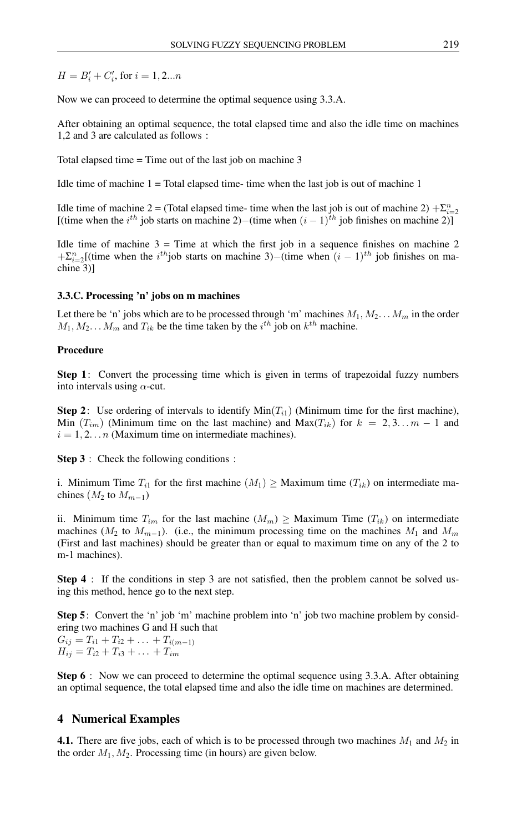$H = B'_i + C'_i$ , for  $i = 1, 2...n$ 

Now we can proceed to determine the optimal sequence using 3.3.A.

After obtaining an optimal sequence, the total elapsed time and also the idle time on machines 1,2 and 3 are calculated as follows :

Total elapsed time = Time out of the last job on machine 3

Idle time of machine  $1 = \text{Total elapsed time}$ - time when the last job is out of machine 1

Idle time of machine 2 = (Total elapsed time- time when the last job is out of machine 2)  $+\sum_{i=2}^{n}$ [(time when the  $i^{th}$  job starts on machine 2)–(time when  $(i - 1)^{th}$  job finishes on machine 2)]

Idle time of machine  $3 =$  Time at which the first job in a sequence finishes on machine 2  $+\sum_{i=2}^{n}[(time \text{ when the } i^{th}]$  is starts on machine 3)–(time when  $(i-1)^{th}$  job finishes on machine 3)]

#### 3.3.C. Processing 'n' jobs on m machines

Let there be 'n' jobs which are to be processed through 'm' machines  $M_1, M_2... M_m$  in the order  $M_1, M_2... M_m$  and  $T_{ik}$  be the time taken by the  $i^{th}$  job on  $k^{th}$  machine.

#### Procedure

Step 1: Convert the processing time which is given in terms of trapezoidal fuzzy numbers into intervals using  $\alpha$ -cut.

**Step 2:** Use ordering of intervals to identify  $Min(T_{i1})$  (Minimum time for the first machine), Min  $(T_{im})$  (Minimum time on the last machine) and Max $(T_{ik})$  for  $k = 2, 3, \ldots m - 1$  and  $i = 1, 2, \ldots n$  (Maximum time on intermediate machines).

Step 3 : Check the following conditions :

i. Minimum Time  $T_{i1}$  for the first machine  $(M_1) \geq$  Maximum time  $(T_{ik})$  on intermediate machines  $(M_2$  to  $M_{m-1})$ 

ii. Minimum time  $T_{im}$  for the last machine  $(M_m) \geq$  Maximum Time  $(T_{ik})$  on intermediate machines ( $M_2$  to  $M_{m-1}$ ). (i.e., the minimum processing time on the machines  $M_1$  and  $M_m$ (First and last machines) should be greater than or equal to maximum time on any of the 2 to m-1 machines).

Step 4 : If the conditions in step 3 are not satisfied, then the problem cannot be solved using this method, hence go to the next step.

Step 5: Convert the 'n' job 'm' machine problem into 'n' job two machine problem by considering two machines G and H such that

 $G_{ij} = T_{i1} + T_{i2} + \ldots + T_{i(m-1)}$  $H_{ij} = T_{i2} + T_{i3} + \ldots + T_{im}$ 

Step 6 : Now we can proceed to determine the optimal sequence using 3.3.A. After obtaining an optimal sequence, the total elapsed time and also the idle time on machines are determined.

### 4 Numerical Examples

**4.1.** There are five jobs, each of which is to be processed through two machines  $M_1$  and  $M_2$  in the order  $M_1, M_2$ . Processing time (in hours) are given below.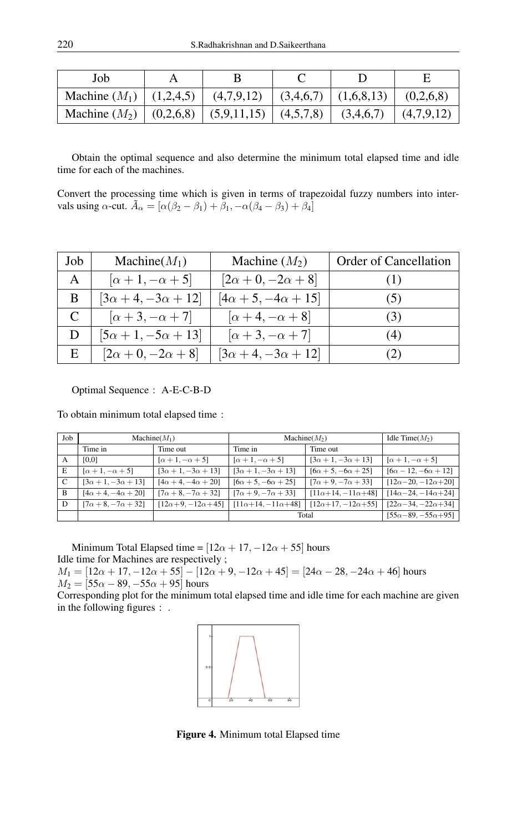| Job                                                                                           |  |  |  |
|-----------------------------------------------------------------------------------------------|--|--|--|
| Machine $(M_1)   (1,2,4,5)   (4,7,9,12)   (3,4,6,7)   (1,6,8,13)   (0,2,6,8)$                 |  |  |  |
| Machine $(M_2) \mid (0,2,6,8) \mid (5,9,11,15) \mid (4,5,7,8) \mid (3,4,6,7) \mid (4,7,9,12)$ |  |  |  |

Obtain the optimal sequence and also determine the minimum total elapsed time and idle time for each of the machines.

Convert the processing time which is given in terms of trapezoidal fuzzy numbers into intervals using  $\alpha$ -cut.  $\tilde{A}_{\alpha} = [\alpha(\beta_2 - \beta_1) + \beta_1, -\alpha(\beta_4 - \beta_3) + \beta_4]$ 

| Job | Machine $(M_1)$                | Machine $(M_2)$                | <b>Order of Cancellation</b> |
|-----|--------------------------------|--------------------------------|------------------------------|
| A   | $[\alpha+1,-\alpha+5]$         | $[2\alpha+0,-2\alpha+8]$       |                              |
| B   | $[3\alpha + 4, -3\alpha + 12]$ | $[4\alpha + 5, -4\alpha + 15]$ | (5)                          |
|     | $[\alpha+3,-\alpha+7]$         | $[\alpha+4,-\alpha+8]$         | (3)                          |
| D   | $[5\alpha + 1, -5\alpha + 13]$ | $[\alpha+3,-\alpha+7]$         | (4)                          |
| Е   | $[2\alpha+0,-2\alpha+8]$       | $[3\alpha + 4, -3\alpha + 12]$ |                              |

Optimal Sequence : A-E-C-B-D

To obtain minimum total elapsed time :

| Job | $Machine(M_1)$                 |                                  | Machine $(M_2)$                         |                                | Idle Time $(M_2)$                 |
|-----|--------------------------------|----------------------------------|-----------------------------------------|--------------------------------|-----------------------------------|
|     | Time in                        | Time out                         | Time in                                 | Time out                       |                                   |
| A   | [0,0]                          | $[\alpha+1,-\alpha+5]$           | $\lceil \alpha + 1, -\alpha + 5 \rceil$ | $[3\alpha + 1, -3\alpha + 13]$ | $[\alpha+1,-\alpha+5]$            |
| E   | $[\alpha+1,-\alpha+5]$         | $[3\alpha + 1, -3\alpha + 13]$   | $[3\alpha + 1, -3\alpha + 13]$          | $[6\alpha + 5, -6\alpha + 25]$ | $[6\alpha - 12, -6\alpha + 12]$   |
| C   | $[3\alpha + 1, -3\alpha + 13]$ | $[4\alpha + 4, -4\alpha + 20]$   | $[6\alpha + 5, -6\alpha + 25]$          | $[7\alpha + 9, -7\alpha + 33]$ | $[12\alpha - 20, -12\alpha + 20]$ |
| B   | $[4\alpha + 4, -4\alpha + 20]$ | $[7\alpha + 8, -7\alpha + 32]$   | $[7\alpha + 9, -7\alpha + 33]$          | $[11\alpha+14,-11\alpha+48]$   | $[14\alpha - 24, -14\alpha + 24]$ |
| D   | $[7\alpha + 8, -7\alpha + 32]$ | $[12\alpha + 9, -12\alpha + 45]$ | $[11\alpha+14,-11\alpha+48]$            | $[12\alpha+17,-12\alpha+55]$   | $[22\alpha - 34, -22\alpha + 34]$ |
|     |                                |                                  | Total                                   |                                | $[55\alpha - 89, -55\alpha + 95]$ |

Minimum Total Elapsed time =  $[12\alpha + 17, -12\alpha + 55]$  hours Idle time for Machines are respectively ;

 $M_1 = [12\alpha + 17, -12\alpha + 55] - [12\alpha + 9, -12\alpha + 45] = [24\alpha - 28, -24\alpha + 46]$  hours  $M_2 = [55\alpha - 89, -55\alpha + 95]$  hours

Corresponding plot for the minimum total elapsed time and idle time for each machine are given in the following figures : .



Figure 4. Minimum total Elapsed time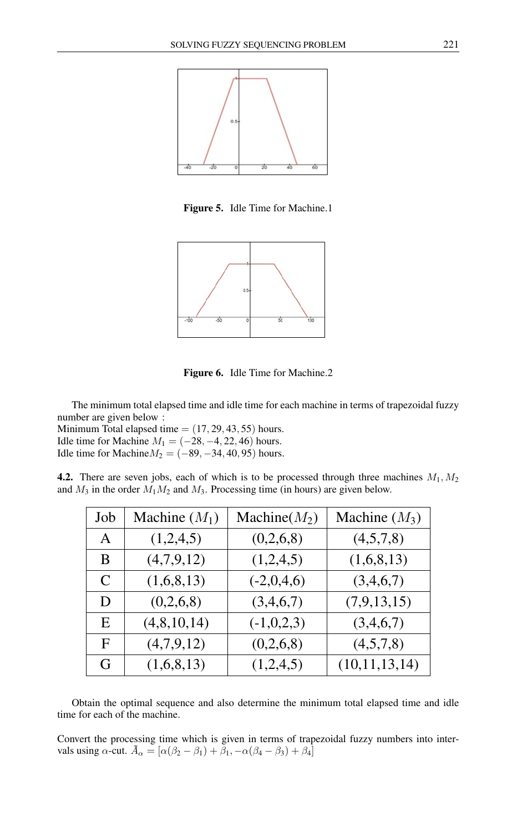

Figure 5. Idle Time for Machine.1



Figure 6. Idle Time for Machine.2

The minimum total elapsed time and idle time for each machine in terms of trapezoidal fuzzy number are given below :

Minimum Total elapsed time  $= (17, 29, 43, 55)$  hours. Idle time for Machine  $M_1 = (-28, -4, 22, 46)$  hours. Idle time for Machine $M_2 = (-89, -34, 40, 95)$  hours.

**4.2.** There are seven jobs, each of which is to be processed through three machines  $M_1, M_2$ and  $M_3$  in the order  $M_1M_2$  and  $M_3$ . Processing time (in hours) are given below.

| Job          | Machine $(M_1)$ | Machine $(M_2)$ | Machine $(M_3)$ |
|--------------|-----------------|-----------------|-----------------|
| $\mathsf{A}$ | (1,2,4,5)       | (0,2,6,8)       | (4,5,7,8)       |
| B            | (4,7,9,12)      | (1,2,4,5)       | (1,6,8,13)      |
| C            | (1,6,8,13)      | $(-2,0,4,6)$    | (3,4,6,7)       |
| D            | (0,2,6,8)       | (3,4,6,7)       | (7,9,13,15)     |
| E            | (4,8,10,14)     | $(-1,0,2,3)$    | (3,4,6,7)       |
| F            | (4,7,9,12)      | (0,2,6,8)       | (4,5,7,8)       |
| G            | (1,6,8,13)      | (1,2,4,5)       | (10,11,13,14)   |

Obtain the optimal sequence and also determine the minimum total elapsed time and idle time for each of the machine.

Convert the processing time which is given in terms of trapezoidal fuzzy numbers into intervals using  $\alpha$ -cut.  $\tilde{A}_{\alpha} = [\alpha(\beta_2 - \beta_1) + \beta_1, -\alpha(\beta_4 - \beta_3) + \beta_4]$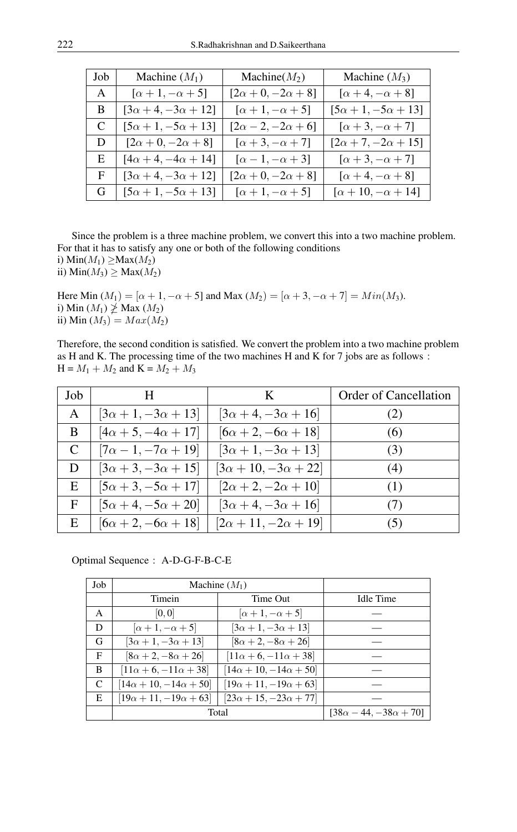| Job | Machine $(M_1)$                | Machine(M <sub>2</sub> )      | Machine $(M_3)$                |
|-----|--------------------------------|-------------------------------|--------------------------------|
| A   | $[\alpha+1,-\alpha+5]$         | $[2\alpha + 0, -2\alpha + 8]$ | $[\alpha+4,-\alpha+8]$         |
| B   | $[3\alpha + 4, -3\alpha + 12]$ | $[\alpha+1,-\alpha+5]$        | $[5\alpha + 1, -5\alpha + 13]$ |
| C   | $[5\alpha + 1, -5\alpha + 13]$ | $[2\alpha - 2, -2\alpha + 6]$ | $[\alpha + 3, -\alpha + 7]$    |
| D   | $[2\alpha+0,-2\alpha+8]$       | $[\alpha+3,-\alpha+7]$        | $[2\alpha + 7, -2\alpha + 15]$ |
| E   | $[4\alpha + 4, -4\alpha + 14]$ | $[\alpha-1,-\alpha+3]$        | $[\alpha + 3, -\alpha + 7]$    |
| F   | $[3\alpha + 4, -3\alpha + 12]$ | $[2\alpha+0,-2\alpha+8]$      | $[\alpha+4,-\alpha+8]$         |
| G   | $[5\alpha + 1, -5\alpha + 13]$ | $[\alpha+1,-\alpha+5]$        | $[\alpha + 10, -\alpha + 14]$  |

Since the problem is a three machine problem, we convert this into a two machine problem. For that it has to satisfy any one or both of the following conditions i) Min $(M_1) \geq Max(M_2)$ 

ii)  $Min(M_3) \geq Max(M_2)$ 

Here Min  $(M_1) = [\alpha + 1, -\alpha + 5]$  and Max  $(M_2) = [\alpha + 3, -\alpha + 7] = Min(M_3)$ . i) Min  $(M_1) \not\geq$  Max  $(M_2)$ ii) Min  $(M_3) = Max(M_2)$ 

Therefore, the second condition is satisfied. We convert the problem into a two machine problem as H and K. The processing time of the two machines H and K for 7 jobs are as follows :  $H = M_1 + M_2$  and  $K = M_2 + M_3$ 

| Job | H                              | K                               | Order of Cancellation |
|-----|--------------------------------|---------------------------------|-----------------------|
| A   | $ 3\alpha + 1, -3\alpha + 13 $ | $ 3\alpha + 4, -3\alpha + 16 $  | (2)                   |
| B   | $[4\alpha + 5, -4\alpha + 17]$ | $[6\alpha + 2, -6\alpha + 18]$  | (6)                   |
| C   | $[7\alpha - 1, -7\alpha + 19]$ | $[3\alpha + 1, -3\alpha + 13]$  | (3)                   |
| D   | $[3\alpha + 3, -3\alpha + 15]$ | $[3\alpha + 10, -3\alpha + 22]$ | (4)                   |
| E   | $[5\alpha + 3, -5\alpha + 17]$ | $[2\alpha + 2, -2\alpha + 10]$  | (1)                   |
| F   | $ 5\alpha + 4, -5\alpha + 20 $ | $ 3\alpha + 4, -3\alpha + 16 $  | (7)                   |
| Ε   | $[6\alpha + 2, -6\alpha + 18]$ | $[2\alpha + 11, -2\alpha + 19]$ | (5)                   |

Optimal Sequence : A-D-G-F-B-C-E

| Job | Machine $(M_1)$                   |                                   |                                   |
|-----|-----------------------------------|-----------------------------------|-----------------------------------|
|     | Timein                            | Time Out                          | Idle Time                         |
| A   | [0,0]                             | $[\alpha+1,-\alpha+5]$            |                                   |
| D   | $[\alpha+1,-\alpha+5]$            | $[3\alpha + 1, -3\alpha + 13]$    |                                   |
| G   | $[3\alpha + 1, -3\alpha + 13]$    | $[8\alpha + 2, -8\alpha + 26]$    |                                   |
| F   | $[8\alpha + 2, -8\alpha + 26]$    | $[11\alpha + 6, -11\alpha + 38]$  |                                   |
| B   | $[11\alpha + 6, -11\alpha + 38]$  | $[14\alpha + 10, -14\alpha + 50]$ |                                   |
| C   | $[14\alpha + 10, -14\alpha + 50]$ | $[19\alpha + 11, -19\alpha + 63]$ |                                   |
| E   | $[19\alpha + 11, -19\alpha + 63]$ | $[23\alpha + 15, -23\alpha + 77]$ |                                   |
|     | Total                             |                                   | $[38\alpha - 44, -38\alpha + 70]$ |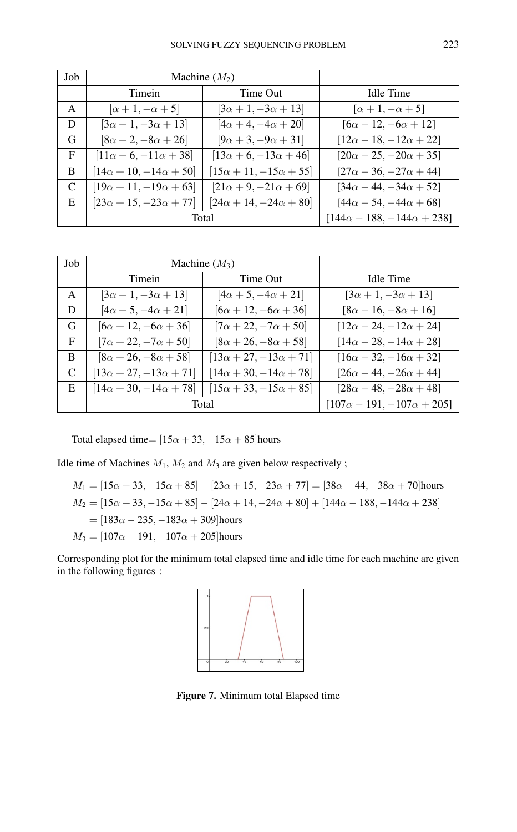| Job | Machine $(M_2)$                   |                                   |                                         |
|-----|-----------------------------------|-----------------------------------|-----------------------------------------|
|     | <b>Timein</b>                     | Time Out                          | Idle Time                               |
| A   | $\left[\alpha+1,-\alpha+5\right]$ | $[3\alpha + 1, -3\alpha + 13]$    | $\lceil \alpha + 1, -\alpha + 5 \rceil$ |
| D   | $[3\alpha + 1, -3\alpha + 13]$    | $[4\alpha + 4, -4\alpha + 20]$    | $[6\alpha - 12, -6\alpha + 12]$         |
| G   | $[8\alpha + 2, -8\alpha + 26]$    | $[9\alpha + 3, -9\alpha + 31]$    | $[12\alpha - 18, -12\alpha + 22]$       |
| F   | $[11\alpha + 6, -11\alpha + 38]$  | $[13\alpha + 6, -13\alpha + 46]$  | $[20\alpha - 25, -20\alpha + 35]$       |
| B.  | $[14\alpha + 10, -14\alpha + 50]$ | $[15\alpha + 11, -15\alpha + 55]$ | $[27\alpha - 36, -27\alpha + 44]$       |
| C   | $[19\alpha + 11, -19\alpha + 63]$ | $[21\alpha + 9, -21\alpha + 69]$  | $[34\alpha - 44, -34\alpha + 52]$       |
| E   | $[23\alpha + 15, -23\alpha + 77]$ | $[24\alpha + 14, -24\alpha + 80]$ | $[44\alpha - 54, -44\alpha + 68]$       |
|     | Total                             |                                   | $[144\alpha - 188, -144\alpha + 238]$   |

| Job | Machine $(M_3)$                   |                                   |                                       |
|-----|-----------------------------------|-----------------------------------|---------------------------------------|
|     | Timein                            | Time Out                          | Idle Time                             |
| A   | $[3\alpha + 1, -3\alpha + 13]$    | $[4\alpha + 5, -4\alpha + 21]$    | $[3\alpha + 1, -3\alpha + 13]$        |
| D   | $[4\alpha + 5, -4\alpha + 21]$    | $[6\alpha + 12, -6\alpha + 36]$   | $[8\alpha - 16, -8\alpha + 16]$       |
| G   | $[6\alpha + 12, -6\alpha + 36]$   | $[7\alpha + 22, -7\alpha + 50]$   | $[12\alpha - 24, -12\alpha + 24]$     |
| F   | $[7\alpha + 22, -7\alpha + 50]$   | $[8\alpha + 26, -8\alpha + 58]$   | $[14\alpha - 28, -14\alpha + 28]$     |
| B   | $[8\alpha + 26, -8\alpha + 58]$   | $[13\alpha + 27, -13\alpha + 71]$ | $[16\alpha - 32, -16\alpha + 32]$     |
| C   | $[13\alpha + 27, -13\alpha + 71]$ | $[14\alpha + 30, -14\alpha + 78]$ | $[26\alpha - 44, -26\alpha + 44]$     |
| E   | $[14\alpha + 30, -14\alpha + 78]$ | $[15\alpha + 33, -15\alpha + 85]$ | $[28\alpha - 48, -28\alpha + 48]$     |
|     | Total                             |                                   | $[107\alpha - 191, -107\alpha + 205]$ |

Total elapsed time=  $[15\alpha + 33, -15\alpha + 85]$ hours

Idle time of Machines  $M_1$ ,  $M_2$  and  $M_3$  are given below respectively;

$$
M_1 = [15\alpha + 33, -15\alpha + 85] - [23\alpha + 15, -23\alpha + 77] = [38\alpha - 44, -38\alpha + 70]\text{hours}
$$
  
\n
$$
M_2 = [15\alpha + 33, -15\alpha + 85] - [24\alpha + 14, -24\alpha + 80] + [144\alpha - 188, -144\alpha + 238]
$$
  
\n
$$
= [183\alpha - 235, -183\alpha + 309]\text{hours}
$$
  
\n
$$
M_3 = [107\alpha - 191, -107\alpha + 205]\text{hours}
$$

Corresponding plot for the minimum total elapsed time and idle time for each machine are given in the following figures :



Figure 7. Minimum total Elapsed time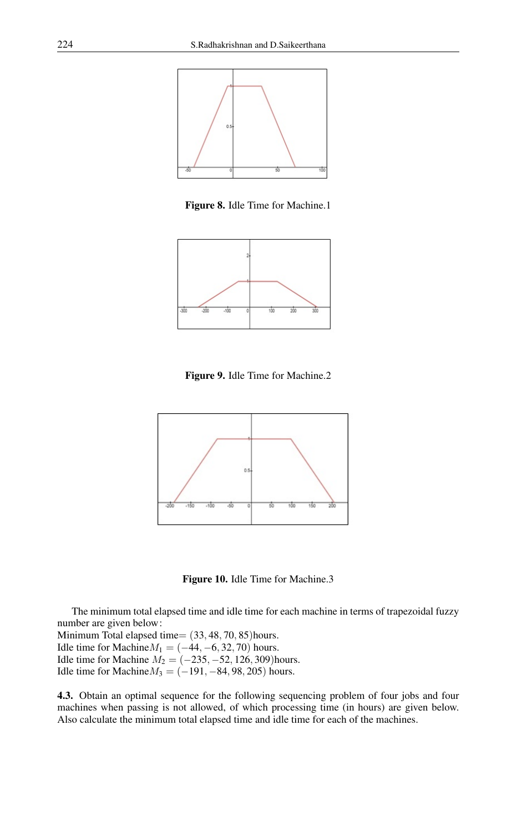

Figure 8. Idle Time for Machine.1



Figure 9. Idle Time for Machine.2



Figure 10. Idle Time for Machine.3

The minimum total elapsed time and idle time for each machine in terms of trapezoidal fuzzy number are given below:

Minimum Total elapsed time= (33, 48, 70, 85)hours. Idle time for Machine $M_1 = (-44, -6, 32, 70)$  hours. Idle time for Machine  $M_2 = (-235, -52, 126, 309)$ hours. Idle time for Machine $M_3 = (-191, -84, 98, 205)$  hours.

4.3. Obtain an optimal sequence for the following sequencing problem of four jobs and four machines when passing is not allowed, of which processing time (in hours) are given below. Also calculate the minimum total elapsed time and idle time for each of the machines.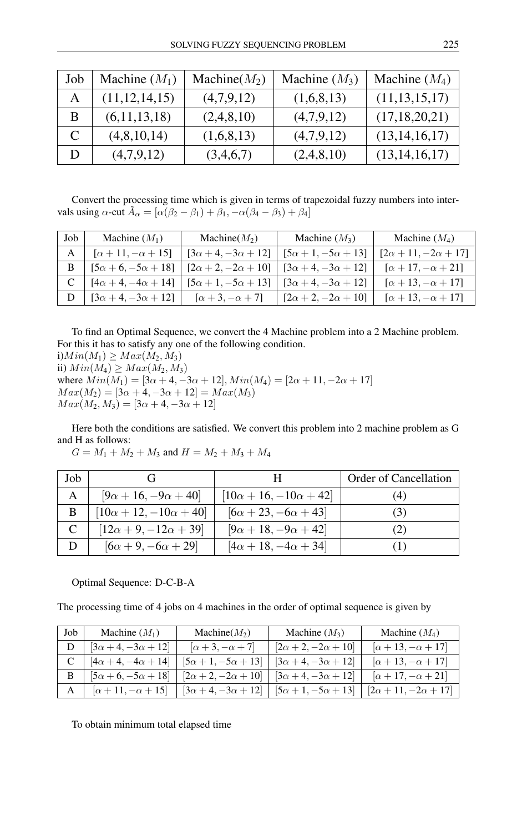| Job          | Machine $(M_1)$  | Machine $(M_2)$ | Machine $(M_3)$ | Machine $(M_4)$  |
|--------------|------------------|-----------------|-----------------|------------------|
| A            | (11, 12, 14, 15) | (4,7,9,12)      | (1,6,8,13)      | (11, 13, 15, 17) |
| B            | (6,11,13,18)     | (2,4,8,10)      | (4,7,9,12)      | (17, 18, 20, 21) |
| $\mathsf{C}$ | (4,8,10,14)      | (1,6,8,13)      | (4,7,9,12)      | (13, 14, 16, 17) |
|              | (4,7,9,12)       | (3,4,6,7)       | (2,4,8,10)      | (13, 14, 16, 17) |

Convert the processing time which is given in terms of trapezoidal fuzzy numbers into intervals using  $\alpha$ -cut  $\tilde{A}_{\alpha} = [\alpha(\beta_2 - \beta_1) + \beta_1, -\alpha(\beta_4 - \beta_3) + \beta_4]$ 

| Job | Machine $(M_1)$                | Machine(M <sub>2</sub> )       | Machine $(M_3)$                | Machine $(M_4)$               |
|-----|--------------------------------|--------------------------------|--------------------------------|-------------------------------|
| A   | $[\alpha + 11, -\alpha + 15]$  | $[3\alpha + 4, -3\alpha + 12]$ | $[5\alpha + 1, -5\alpha + 13]$ | $[2\alpha+11,-2\alpha+17]$    |
| B   | $[5\alpha + 6, -5\alpha + 18]$ | $[2\alpha + 2, -2\alpha + 10]$ | $[3\alpha + 4, -3\alpha + 12]$ | $[\alpha + 17, -\alpha + 21]$ |
|     | $[4\alpha + 4, -4\alpha + 14]$ | $[5\alpha + 1, -5\alpha + 13]$ | $[3\alpha + 4, -3\alpha + 12]$ | $[\alpha + 13, -\alpha + 17]$ |
|     | $[3\alpha + 4, -3\alpha + 12]$ | $[\alpha + 3, -\alpha + 7]$    | $[2\alpha + 2, -2\alpha + 10]$ | $[\alpha + 13, -\alpha + 17]$ |

To find an Optimal Sequence, we convert the 4 Machine problem into a 2 Machine problem. For this it has to satisfy any one of the following condition. i) $Min(M_1) \geq Max(M_2, M_3)$ ii)  $Min(M_4) \geq Max(M_2, M_3)$ where  $Min(M_1) = [3\alpha + 4, -3\alpha + 12], Min(M_4) = [2\alpha + 11, -2\alpha + 17]$  $Max(M_2) = [3\alpha + 4, -3\alpha + 12] = Max(M_3)$ 

 $Max(M_2, M_3) = [3\alpha + 4, -3\alpha + 12]$ 

Here both the conditions are satisfied. We convert this problem into 2 machine problem as G and H as follows:

$$
G = M_1 + M_2 + M_3 \text{ and } H = M_2 + M_3 + M_4
$$

| Job |                                   |                                   | Order of Cancellation |
|-----|-----------------------------------|-----------------------------------|-----------------------|
| A   | $[9\alpha + 16, -9\alpha + 40]$   | $[10\alpha + 16, -10\alpha + 42]$ |                       |
| B   | $[10\alpha + 12, -10\alpha + 40]$ | $[6\alpha + 23, -6\alpha + 43]$   | ( ژ                   |
|     | $[12\alpha + 9, -12\alpha + 39]$  | $[9\alpha + 18, -9\alpha + 42]$   |                       |
|     | $[6\alpha + 9, -6\alpha + 29]$    | $[4\alpha + 18, -4\alpha + 34]$   |                       |

#### Optimal Sequence: D-C-B-A

The processing time of 4 jobs on 4 machines in the order of optimal sequence is given by

| . Job | Machine $(M_1)$                | Machine(M <sub>2</sub> )       | Machine $(M_3)$                | Machine $(M_4)$                 |
|-------|--------------------------------|--------------------------------|--------------------------------|---------------------------------|
|       | $[3\alpha + 4, -3\alpha + 12]$ | $[\alpha+3,-\alpha+7]$         | $[2\alpha+2,-2\alpha+10]$      | $[\alpha + 13, -\alpha + 17]$   |
|       | $[4\alpha + 4, -4\alpha + 14]$ | $[5\alpha + 1, -5\alpha + 13]$ | $[3\alpha + 4, -3\alpha + 12]$ | $[\alpha + 13, -\alpha + 17]$   |
| B     | $[5\alpha + 6, -5\alpha + 18]$ | $[2\alpha + 2, -2\alpha + 10]$ | $[3\alpha + 4, -3\alpha + 12]$ | $[\alpha + 17, -\alpha + 21]$   |
| A     | $[\alpha + 11, -\alpha + 15]$  | $[3\alpha + 4, -3\alpha + 12]$ | $[5\alpha + 1, -5\alpha + 13]$ | $[2\alpha + 11, -2\alpha + 17]$ |

To obtain minimum total elapsed time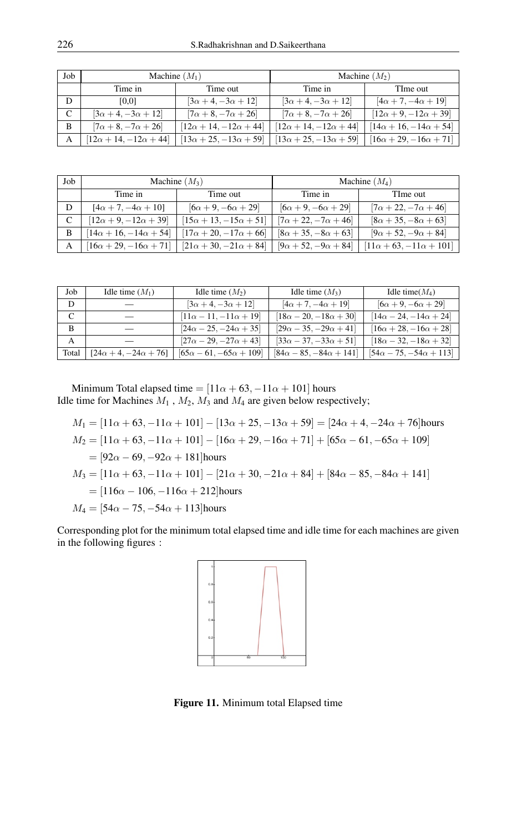| Job | Machine $(M_1)$                   |                                   | Machine $(M_2)$                   |                                   |
|-----|-----------------------------------|-----------------------------------|-----------------------------------|-----------------------------------|
|     | Time in                           | Time out                          | Time in                           | TIme out                          |
| D   | [0,0]                             | $[3\alpha + 4, -3\alpha + 12]$    | $[3\alpha + 4, -3\alpha + 12]$    | $[4\alpha + 7, -4\alpha + 19]$    |
| C   | $[3\alpha + 4, -3\alpha + 12]$    | $[7\alpha + 8, -7\alpha + 26]$    | $[7\alpha + 8, -7\alpha + 26]$    | $[12\alpha + 9, -12\alpha + 39]$  |
| B   | $[7\alpha + 8, -7\alpha + 26]$    | $[12\alpha + 14, -12\alpha + 44]$ | $[12\alpha + 14, -12\alpha + 44]$ | $[14\alpha + 16, -14\alpha + 54]$ |
| A   | $[12\alpha + 14, -12\alpha + 44]$ | $[13\alpha + 25, -13\alpha + 59]$ | $[13\alpha + 25, -13\alpha + 59]$ | $[16\alpha + 29, -16\alpha + 71]$ |

| Job          | Machine $(M_3)$                   |                                   | Machine $(M_4)$                 |                                    |
|--------------|-----------------------------------|-----------------------------------|---------------------------------|------------------------------------|
|              | Time in                           | Time out                          | Time in                         | TIme out                           |
| D            | $[4\alpha + 7, -4\alpha + 10]$    | $[6\alpha + 9, -6\alpha + 29]$    | $[6\alpha + 9, -6\alpha + 29]$  | $[7\alpha + 22, -7\alpha + 46]$    |
| $\mathsf{C}$ | $[12\alpha + 9, -12\alpha + 39]$  | $[15\alpha + 13, -15\alpha + 51]$ | $[7\alpha + 22, -7\alpha + 46]$ | $[8\alpha + 35, -8\alpha + 63]$    |
| B            | $[14\alpha + 16, -14\alpha + 54]$ | $[17\alpha + 20, -17\alpha + 66]$ | $[8\alpha + 35, -8\alpha + 63]$ | $[9\alpha + 52, -9\alpha + 84]$    |
| А            | $[16\alpha + 29, -16\alpha + 71]$ | $[21\alpha + 30, -21\alpha + 84]$ | $[9\alpha + 52, -9\alpha + 84]$ | $[11\alpha + 63, -11\alpha + 101]$ |

| Job   | Idle time $(M_1)$                | Idle time $(M_2)$                  | Idle time $(M_3)$                  | Idle time $(M_4)$                  |
|-------|----------------------------------|------------------------------------|------------------------------------|------------------------------------|
| D     |                                  | $[3\alpha + 4, -3\alpha + 12]$     | $[4\alpha + 7, -4\alpha + 19]$     | $[6\alpha + 9, -6\alpha + 29]$     |
|       |                                  | $[11\alpha - 11, -11\alpha + 19]$  | $[18\alpha - 20, -18\alpha + 30]$  | $[14\alpha - 24, -14\alpha + 24]$  |
| B     |                                  | $[24\alpha - 25, -24\alpha + 35]$  | $[29\alpha - 35, -29\alpha + 41]$  | $[16\alpha + 28, -16\alpha + 28]$  |
| A     |                                  | $[27\alpha - 29, -27\alpha + 43]$  | $[33\alpha - 37, -33\alpha + 51]$  | $[18\alpha - 32, -18\alpha + 32]$  |
| Total | $[24\alpha + 4, -24\alpha + 76]$ | $[65\alpha - 61, -65\alpha + 109]$ | $[84\alpha - 85, -84\alpha + 141]$ | $[54\alpha - 75, -54\alpha + 113]$ |

Minimum Total elapsed time =  $[11\alpha + 63, -11\alpha + 101]$  hours Idle time for Machines  $M_1$ ,  $M_2$ ,  $M_3$  and  $M_4$  are given below respectively;

$$
M_1 = [11\alpha + 63, -11\alpha + 101] - [13\alpha + 25, -13\alpha + 59] = [24\alpha + 4, -24\alpha + 76]
$$
 hours

$$
M_2 = [11\alpha + 63, -11\alpha + 101] - [16\alpha + 29, -16\alpha + 71] + [65\alpha - 61, -65\alpha + 109]
$$

 $=[92\alpha - 69, -92\alpha + 181]$ hours

$$
M_3 = [11\alpha + 63, -11\alpha + 101] - [21\alpha + 30, -21\alpha + 84] + [84\alpha - 85, -84\alpha + 141]
$$

$$
= [116\alpha - 106, -116\alpha + 212]
$$
 hours

$$
M_4 = [54\alpha - 75, -54\alpha + 113]
$$
 hours

Corresponding plot for the minimum total elapsed time and idle time for each machines are given in the following figures :



Figure 11. Minimum total Elapsed time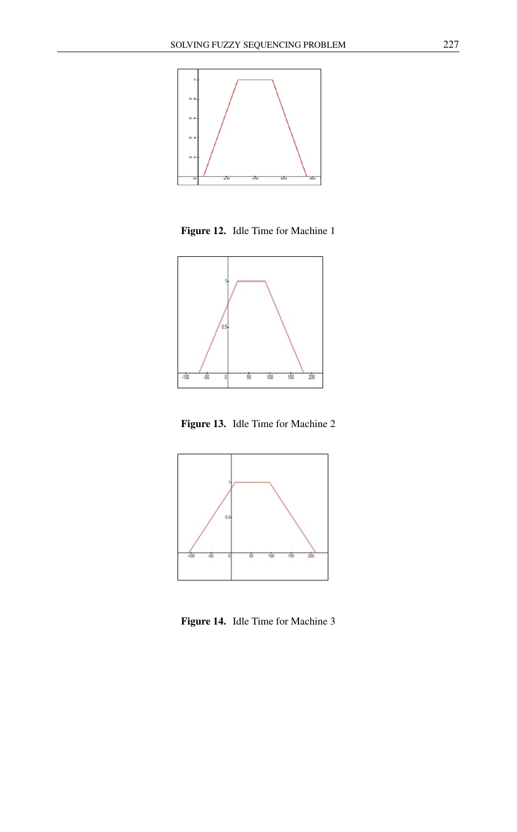

Figure 12. Idle Time for Machine 1



Figure 13. Idle Time for Machine 2



Figure 14. Idle Time for Machine 3